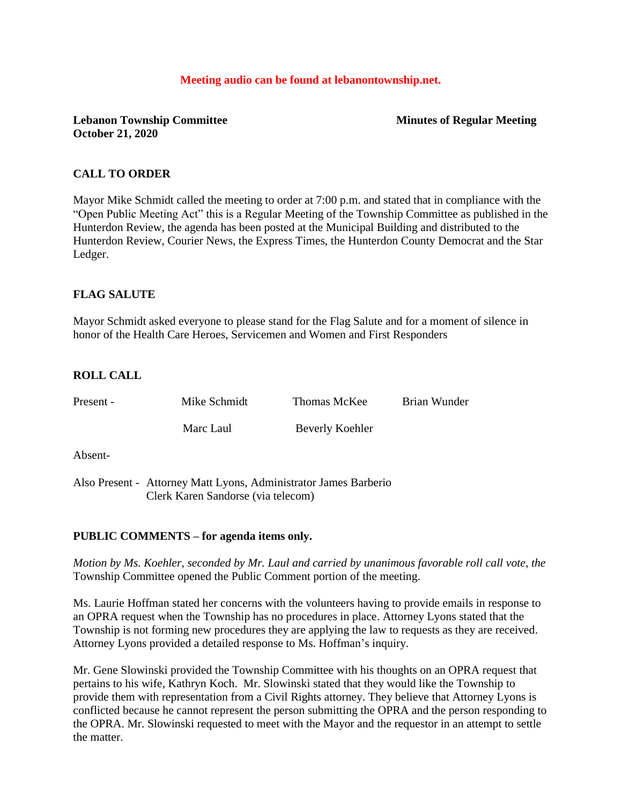#### **Meeting audio can be found at lebanontownship.net.**

# **Lebanon Township Committee Minutes of Regular Meeting October 21, 2020**

# **CALL TO ORDER**

Mayor Mike Schmidt called the meeting to order at 7:00 p.m. and stated that in compliance with the "Open Public Meeting Act" this is a Regular Meeting of the Township Committee as published in the Hunterdon Review, the agenda has been posted at the Municipal Building and distributed to the Hunterdon Review, Courier News, the Express Times, the Hunterdon County Democrat and the Star Ledger.

# **FLAG SALUTE**

Mayor Schmidt asked everyone to please stand for the Flag Salute and for a moment of silence in honor of the Health Care Heroes, Servicemen and Women and First Responders

# **ROLL CALL**

| Present - | Mike Schmidt                                                                                           | Thomas McKee    | Brian Wunder |
|-----------|--------------------------------------------------------------------------------------------------------|-----------------|--------------|
|           | Marc Laul                                                                                              | Beverly Koehler |              |
| Absent-   |                                                                                                        |                 |              |
|           | Also Present - Attorney Matt Lyons, Administrator James Barberio<br>Clerk Karen Sandorse (via telecom) |                 |              |

## **PUBLIC COMMENTS – for agenda items only.**

*Motion by Ms. Koehler, seconded by Mr. Laul and carried by unanimous favorable roll call vote, the* Township Committee opened the Public Comment portion of the meeting.

Ms. Laurie Hoffman stated her concerns with the volunteers having to provide emails in response to an OPRA request when the Township has no procedures in place. Attorney Lyons stated that the Township is not forming new procedures they are applying the law to requests as they are received. Attorney Lyons provided a detailed response to Ms. Hoffman's inquiry.

Mr. Gene Slowinski provided the Township Committee with his thoughts on an OPRA request that pertains to his wife, Kathryn Koch. Mr. Slowinski stated that they would like the Township to provide them with representation from a Civil Rights attorney. They believe that Attorney Lyons is conflicted because he cannot represent the person submitting the OPRA and the person responding to the OPRA. Mr. Slowinski requested to meet with the Mayor and the requestor in an attempt to settle the matter.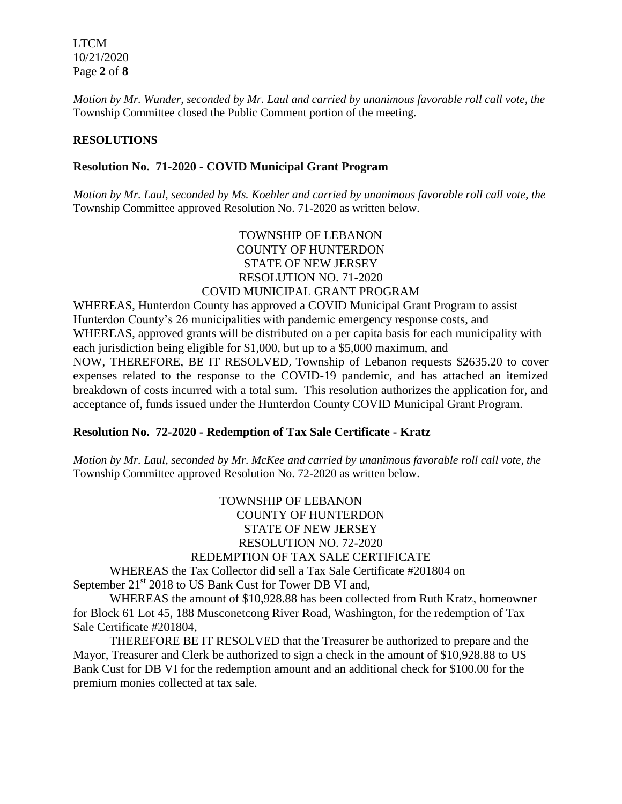LTCM 10/21/2020 Page **2** of **8**

*Motion by Mr. Wunder, seconded by Mr. Laul and carried by unanimous favorable roll call vote, the* Township Committee closed the Public Comment portion of the meeting.

### **RESOLUTIONS**

### **Resolution No. 71-2020 - COVID Municipal Grant Program**

*Motion by Mr. Laul, seconded by Ms. Koehler and carried by unanimous favorable roll call vote, the* Township Committee approved Resolution No. 71-2020 as written below.

# TOWNSHIP OF LEBANON COUNTY OF HUNTERDON STATE OF NEW JERSEY RESOLUTION NO. 71-2020 COVID MUNICIPAL GRANT PROGRAM

WHEREAS, Hunterdon County has approved a COVID Municipal Grant Program to assist Hunterdon County's 26 municipalities with pandemic emergency response costs, and WHEREAS, approved grants will be distributed on a per capita basis for each municipality with each jurisdiction being eligible for \$1,000, but up to a \$5,000 maximum, and NOW, THEREFORE, BE IT RESOLVED, Township of Lebanon requests \$2635.20 to cover expenses related to the response to the COVID-19 pandemic, and has attached an itemized breakdown of costs incurred with a total sum. This resolution authorizes the application for, and acceptance of, funds issued under the Hunterdon County COVID Municipal Grant Program.

## **Resolution No. 72-2020 - Redemption of Tax Sale Certificate - Kratz**

*Motion by Mr. Laul, seconded by Mr. McKee and carried by unanimous favorable roll call vote, the* Township Committee approved Resolution No. 72-2020 as written below.

# TOWNSHIP OF LEBANON COUNTY OF HUNTERDON STATE OF NEW JERSEY RESOLUTION NO. 72-2020 REDEMPTION OF TAX SALE CERTIFICATE

WHEREAS the Tax Collector did sell a Tax Sale Certificate #201804 on September 21<sup>st</sup> 2018 to US Bank Cust for Tower DB VI and,

WHEREAS the amount of \$10,928.88 has been collected from Ruth Kratz, homeowner for Block 61 Lot 45, 188 Musconetcong River Road, Washington, for the redemption of Tax Sale Certificate #201804,

THEREFORE BE IT RESOLVED that the Treasurer be authorized to prepare and the Mayor, Treasurer and Clerk be authorized to sign a check in the amount of \$10,928.88 to US Bank Cust for DB VI for the redemption amount and an additional check for \$100.00 for the premium monies collected at tax sale.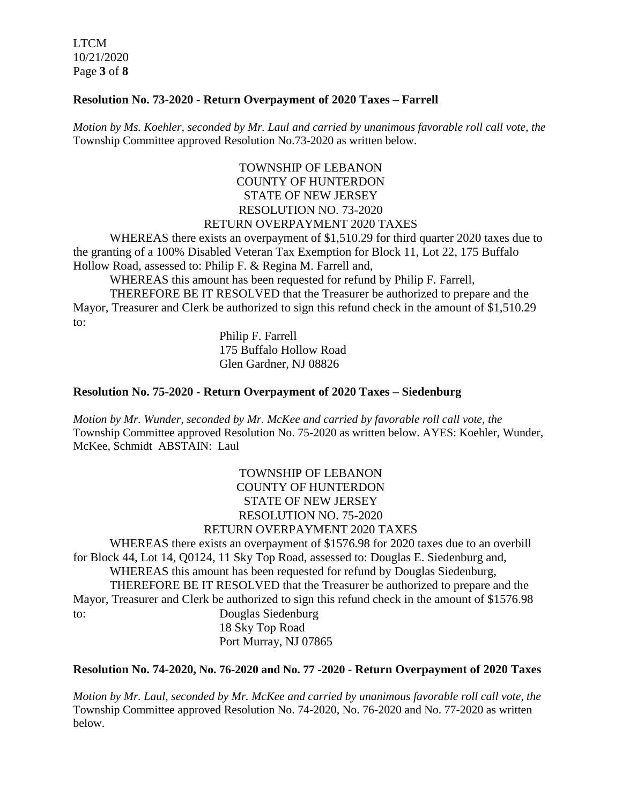LTCM 10/21/2020 Page **3** of **8**

# **Resolution No. 73-2020 - Return Overpayment of 2020 Taxes – Farrell**

*Motion by Ms. Koehler, seconded by Mr. Laul and carried by unanimous favorable roll call vote, the* Township Committee approved Resolution No.73-2020 as written below.

# TOWNSHIP OF LEBANON COUNTY OF HUNTERDON STATE OF NEW JERSEY RESOLUTION NO. 73-2020 RETURN OVERPAYMENT 2020 TAXES

WHEREAS there exists an overpayment of \$1,510.29 for third quarter 2020 taxes due to the granting of a 100% Disabled Veteran Tax Exemption for Block 11, Lot 22, 175 Buffalo Hollow Road, assessed to: Philip F. & Regina M. Farrell and,

WHEREAS this amount has been requested for refund by Philip F. Farrell,

THEREFORE BE IT RESOLVED that the Treasurer be authorized to prepare and the Mayor, Treasurer and Clerk be authorized to sign this refund check in the amount of \$1,510.29 to:

> Philip F. Farrell 175 Buffalo Hollow Road Glen Gardner, NJ 08826

# **Resolution No. 75-2020 - Return Overpayment of 2020 Taxes – Siedenburg**

*Motion by Mr. Wunder, seconded by Mr. McKee and carried by favorable roll call vote, the* Township Committee approved Resolution No. 75-2020 as written below. AYES: Koehler, Wunder, McKee, Schmidt ABSTAIN: Laul

> TOWNSHIP OF LEBANON COUNTY OF HUNTERDON STATE OF NEW JERSEY RESOLUTION NO. 75-2020 RETURN OVERPAYMENT 2020 TAXES

WHEREAS there exists an overpayment of \$1576.98 for 2020 taxes due to an overbill for Block 44, Lot 14, Q0124, 11 Sky Top Road, assessed to: Douglas E. Siedenburg and, WHEREAS this amount has been requested for refund by Douglas Siedenburg, THEREFORE BE IT RESOLVED that the Treasurer be authorized to prepare and the Mayor, Treasurer and Clerk be authorized to sign this refund check in the amount of \$1576.98 to: Douglas Siedenburg 18 Sky Top Road

Port Murray, NJ 07865

**Resolution No. 74-2020, No. 76-2020 and No. 77 -2020 - Return Overpayment of 2020 Taxes**

*Motion by Mr. Laul, seconded by Mr. McKee and carried by unanimous favorable roll call vote, the* Township Committee approved Resolution No. 74-2020, No. 76-2020 and No. 77-2020 as written below.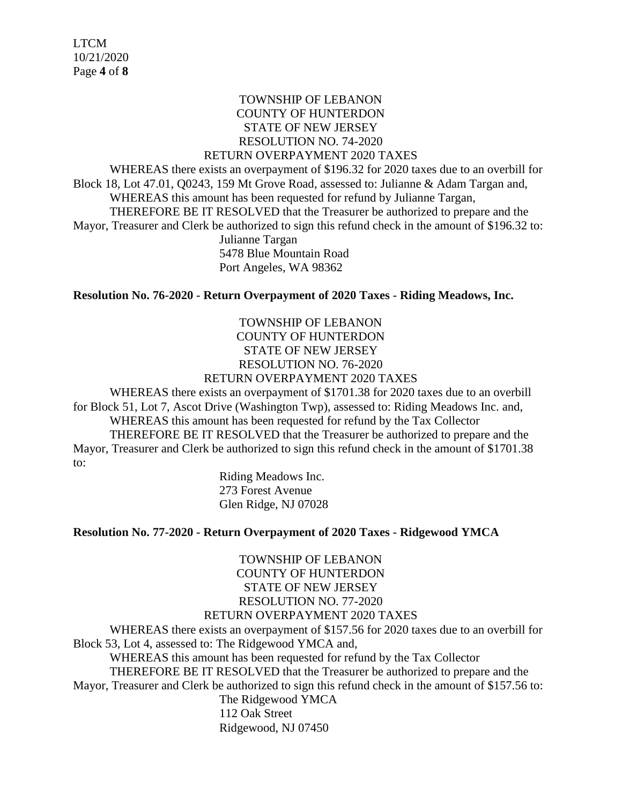# TOWNSHIP OF LEBANON COUNTY OF HUNTERDON STATE OF NEW JERSEY RESOLUTION NO. 74-2020

#### RETURN OVERPAYMENT 2020 TAXES

WHEREAS there exists an overpayment of \$196.32 for 2020 taxes due to an overbill for Block 18, Lot 47.01, Q0243, 159 Mt Grove Road, assessed to: Julianne & Adam Targan and, WHEREAS this amount has been requested for refund by Julianne Targan, THEREFORE BE IT RESOLVED that the Treasurer be authorized to prepare and the Mayor, Treasurer and Clerk be authorized to sign this refund check in the amount of \$196.32 to: Julianne Targan 5478 Blue Mountain Road Port Angeles, WA 98362

**Resolution No. 76-2020 - Return Overpayment of 2020 Taxes - Riding Meadows, Inc.**

# TOWNSHIP OF LEBANON COUNTY OF HUNTERDON STATE OF NEW JERSEY RESOLUTION NO. 76-2020 RETURN OVERPAYMENT 2020 TAXES

WHEREAS there exists an overpayment of \$1701.38 for 2020 taxes due to an overbill for Block 51, Lot 7, Ascot Drive (Washington Twp), assessed to: Riding Meadows Inc. and, WHEREAS this amount has been requested for refund by the Tax Collector THEREFORE BE IT RESOLVED that the Treasurer be authorized to prepare and the Mayor, Treasurer and Clerk be authorized to sign this refund check in the amount of \$1701.38

to:

Riding Meadows Inc. 273 Forest Avenue Glen Ridge, NJ 07028

## **Resolution No. 77-2020 - Return Overpayment of 2020 Taxes - Ridgewood YMCA**

TOWNSHIP OF LEBANON COUNTY OF HUNTERDON STATE OF NEW JERSEY RESOLUTION NO. 77-2020

# RETURN OVERPAYMENT 2020 TAXES

WHEREAS there exists an overpayment of \$157.56 for 2020 taxes due to an overbill for Block 53, Lot 4, assessed to: The Ridgewood YMCA and, WHEREAS this amount has been requested for refund by the Tax Collector

THEREFORE BE IT RESOLVED that the Treasurer be authorized to prepare and the Mayor, Treasurer and Clerk be authorized to sign this refund check in the amount of \$157.56 to:

The Ridgewood YMCA 112 Oak Street Ridgewood, NJ 07450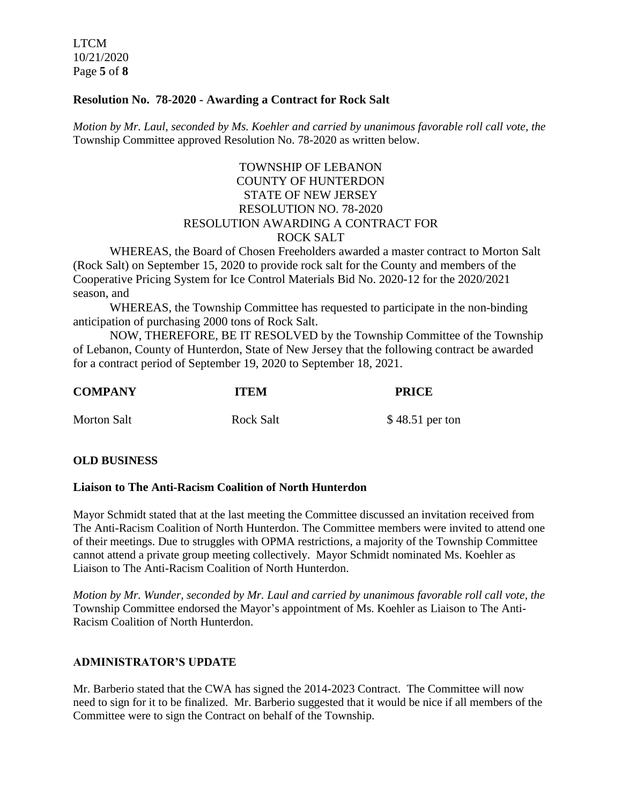LTCM 10/21/2020 Page **5** of **8**

## **Resolution No. 78-2020 - Awarding a Contract for Rock Salt**

*Motion by Mr. Laul, seconded by Ms. Koehler and carried by unanimous favorable roll call vote, the* Township Committee approved Resolution No. 78-2020 as written below.

# TOWNSHIP OF LEBANON COUNTY OF HUNTERDON STATE OF NEW JERSEY RESOLUTION NO. 78-2020 RESOLUTION AWARDING A CONTRACT FOR ROCK SALT

WHEREAS, the Board of Chosen Freeholders awarded a master contract to Morton Salt (Rock Salt) on September 15, 2020 to provide rock salt for the County and members of the Cooperative Pricing System for Ice Control Materials Bid No. 2020-12 for the 2020/2021 season, and

WHEREAS, the Township Committee has requested to participate in the non-binding anticipation of purchasing 2000 tons of Rock Salt.

NOW, THEREFORE, BE IT RESOLVED by the Township Committee of the Township of Lebanon, County of Hunterdon, State of New Jersey that the following contract be awarded for a contract period of September 19, 2020 to September 18, 2021.

| <b>COMPANY</b>     | <b>ITEM</b>      | <b>PRICE</b>    |
|--------------------|------------------|-----------------|
| <b>Morton Salt</b> | <b>Rock Salt</b> | \$48.51 per ton |

## **OLD BUSINESS**

#### **Liaison to The Anti-Racism Coalition of North Hunterdon**

Mayor Schmidt stated that at the last meeting the Committee discussed an invitation received from The Anti-Racism Coalition of North Hunterdon. The Committee members were invited to attend one of their meetings. Due to struggles with OPMA restrictions, a majority of the Township Committee cannot attend a private group meeting collectively. Mayor Schmidt nominated Ms. Koehler as Liaison to The Anti-Racism Coalition of North Hunterdon.

*Motion by Mr. Wunder, seconded by Mr. Laul and carried by unanimous favorable roll call vote, the* Township Committee endorsed the Mayor's appointment of Ms. Koehler as Liaison to The Anti-Racism Coalition of North Hunterdon.

#### **ADMINISTRATOR'S UPDATE**

Mr. Barberio stated that the CWA has signed the 2014-2023 Contract. The Committee will now need to sign for it to be finalized. Mr. Barberio suggested that it would be nice if all members of the Committee were to sign the Contract on behalf of the Township.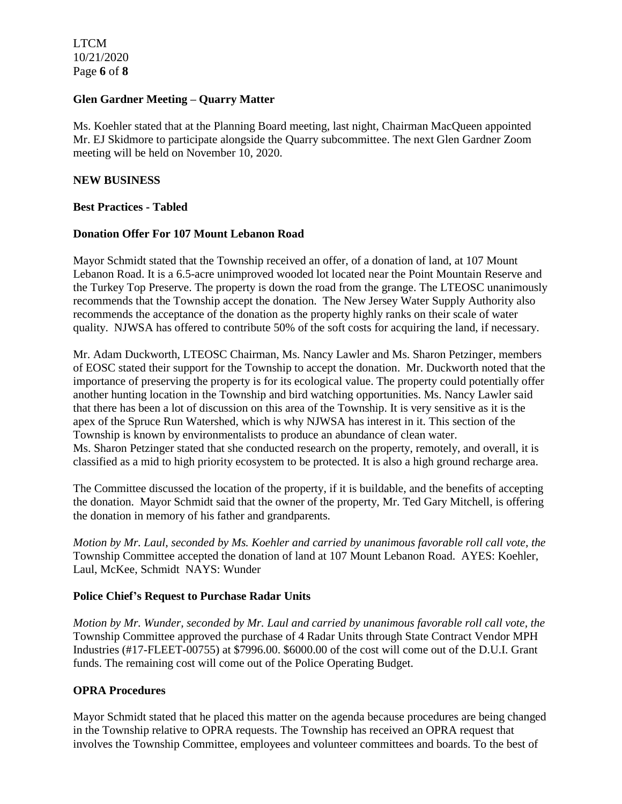LTCM 10/21/2020 Page **6** of **8**

## **Glen Gardner Meeting – Quarry Matter**

Ms. Koehler stated that at the Planning Board meeting, last night, Chairman MacQueen appointed Mr. EJ Skidmore to participate alongside the Quarry subcommittee. The next Glen Gardner Zoom meeting will be held on November 10, 2020.

#### **NEW BUSINESS**

#### **Best Practices - Tabled**

#### **Donation Offer For 107 Mount Lebanon Road**

Mayor Schmidt stated that the Township received an offer, of a donation of land, at 107 Mount Lebanon Road. It is a 6.5-acre unimproved wooded lot located near the Point Mountain Reserve and the Turkey Top Preserve. The property is down the road from the grange. The LTEOSC unanimously recommends that the Township accept the donation. The New Jersey Water Supply Authority also recommends the acceptance of the donation as the property highly ranks on their scale of water quality. NJWSA has offered to contribute 50% of the soft costs for acquiring the land, if necessary.

Mr. Adam Duckworth, LTEOSC Chairman, Ms. Nancy Lawler and Ms. Sharon Petzinger, members of EOSC stated their support for the Township to accept the donation. Mr. Duckworth noted that the importance of preserving the property is for its ecological value. The property could potentially offer another hunting location in the Township and bird watching opportunities. Ms. Nancy Lawler said that there has been a lot of discussion on this area of the Township. It is very sensitive as it is the apex of the Spruce Run Watershed, which is why NJWSA has interest in it. This section of the Township is known by environmentalists to produce an abundance of clean water. Ms. Sharon Petzinger stated that she conducted research on the property, remotely, and overall, it is classified as a mid to high priority ecosystem to be protected. It is also a high ground recharge area.

The Committee discussed the location of the property, if it is buildable, and the benefits of accepting the donation. Mayor Schmidt said that the owner of the property, Mr. Ted Gary Mitchell, is offering the donation in memory of his father and grandparents.

*Motion by Mr. Laul, seconded by Ms. Koehler and carried by unanimous favorable roll call vote, the* Township Committee accepted the donation of land at 107 Mount Lebanon Road. AYES: Koehler, Laul, McKee, Schmidt NAYS: Wunder

#### **Police Chief's Request to Purchase Radar Units**

*Motion by Mr. Wunder, seconded by Mr. Laul and carried by unanimous favorable roll call vote, the* Township Committee approved the purchase of 4 Radar Units through State Contract Vendor MPH Industries (#17-FLEET-00755) at \$7996.00. \$6000.00 of the cost will come out of the D.U.I. Grant funds. The remaining cost will come out of the Police Operating Budget.

#### **OPRA Procedures**

Mayor Schmidt stated that he placed this matter on the agenda because procedures are being changed in the Township relative to OPRA requests. The Township has received an OPRA request that involves the Township Committee, employees and volunteer committees and boards. To the best of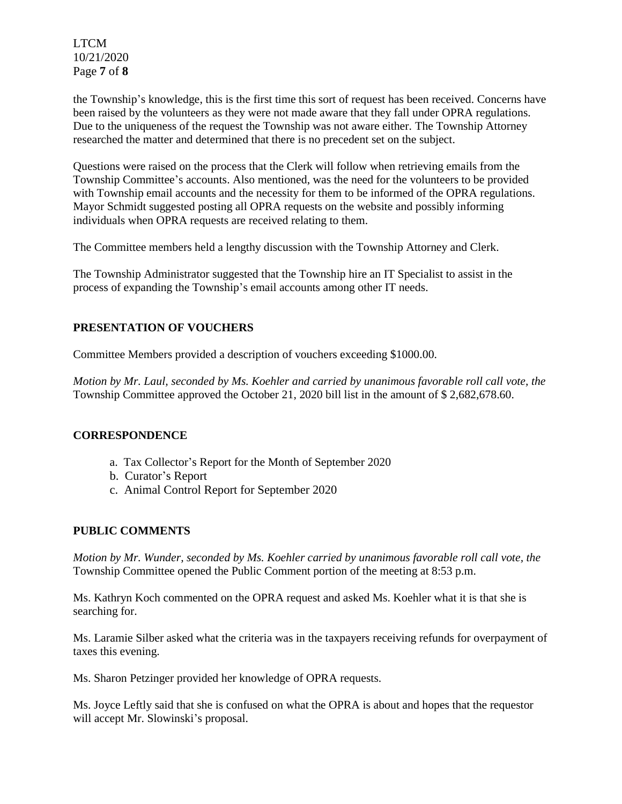LTCM 10/21/2020 Page **7** of **8**

the Township's knowledge, this is the first time this sort of request has been received. Concerns have been raised by the volunteers as they were not made aware that they fall under OPRA regulations. Due to the uniqueness of the request the Township was not aware either. The Township Attorney researched the matter and determined that there is no precedent set on the subject.

Questions were raised on the process that the Clerk will follow when retrieving emails from the Township Committee's accounts. Also mentioned, was the need for the volunteers to be provided with Township email accounts and the necessity for them to be informed of the OPRA regulations. Mayor Schmidt suggested posting all OPRA requests on the website and possibly informing individuals when OPRA requests are received relating to them.

The Committee members held a lengthy discussion with the Township Attorney and Clerk.

The Township Administrator suggested that the Township hire an IT Specialist to assist in the process of expanding the Township's email accounts among other IT needs.

# **PRESENTATION OF VOUCHERS**

Committee Members provided a description of vouchers exceeding \$1000.00.

*Motion by Mr. Laul, seconded by Ms. Koehler and carried by unanimous favorable roll call vote, the* Township Committee approved the October 21, 2020 bill list in the amount of \$ 2,682,678.60.

## **CORRESPONDENCE**

- a. Tax Collector's Report for the Month of September 2020
- b. Curator's Report
- c. Animal Control Report for September 2020

## **PUBLIC COMMENTS**

*Motion by Mr. Wunder, seconded by Ms. Koehler carried by unanimous favorable roll call vote, the* Township Committee opened the Public Comment portion of the meeting at 8:53 p.m.

Ms. Kathryn Koch commented on the OPRA request and asked Ms. Koehler what it is that she is searching for.

Ms. Laramie Silber asked what the criteria was in the taxpayers receiving refunds for overpayment of taxes this evening.

Ms. Sharon Petzinger provided her knowledge of OPRA requests.

Ms. Joyce Leftly said that she is confused on what the OPRA is about and hopes that the requestor will accept Mr. Slowinski's proposal.